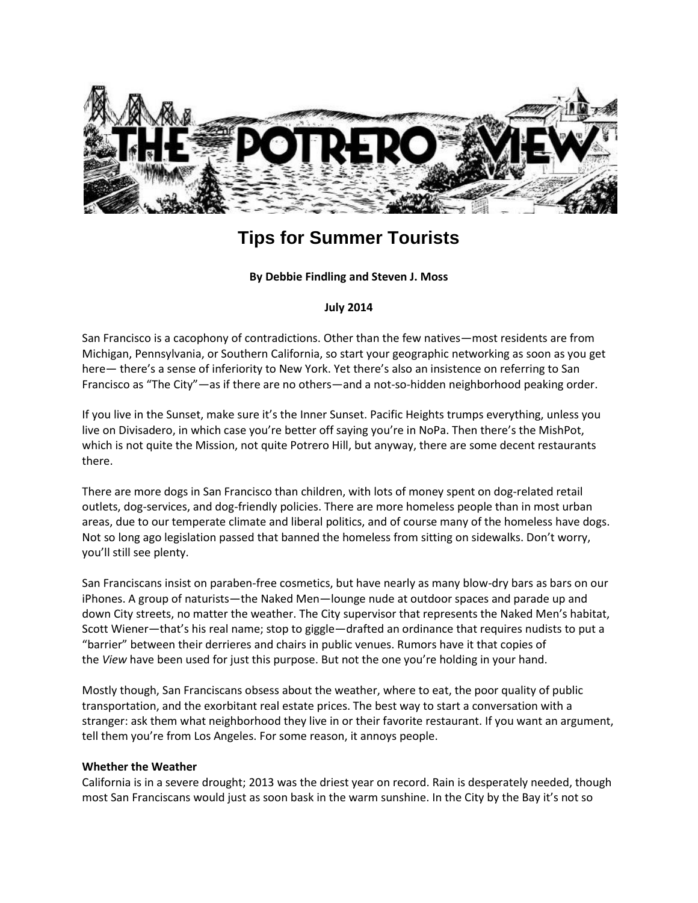

# **Tips for Summer Tourists**

# **By Debbie Findling and Steven J. Moss**

#### **July 2014**

San Francisco is a cacophony of contradictions. Other than the few natives—most residents are from Michigan, Pennsylvania, or Southern California, so start your geographic networking as soon as you get here— there's a sense of inferiority to New York. Yet there's also an insistence on referring to San Francisco as "The City"—as if there are no others—and a not-so-hidden neighborhood peaking order.

If you live in the Sunset, make sure it's the Inner Sunset. Pacific Heights trumps everything, unless you live on Divisadero, in which case you're better off saying you're in NoPa. Then there's the MishPot, which is not quite the Mission, not quite Potrero Hill, but anyway, there are some decent restaurants there.

There are more dogs in San Francisco than children, with lots of money spent on dog-related retail outlets, dog-services, and dog-friendly policies. There are more homeless people than in most urban areas, due to our temperate climate and liberal politics, and of course many of the homeless have dogs. Not so long ago legislation passed that banned the homeless from sitting on sidewalks. Don't worry, you'll still see plenty.

San Franciscans insist on paraben-free cosmetics, but have nearly as many blow-dry bars as bars on our iPhones. A group of naturists—the Naked Men—lounge nude at outdoor spaces and parade up and down City streets, no matter the weather. The City supervisor that represents the Naked Men's habitat, Scott Wiener—that's his real name; stop to giggle—drafted an ordinance that requires nudists to put a "barrier" between their derrieres and chairs in public venues. Rumors have it that copies of the *View* have been used for just this purpose. But not the one you're holding in your hand.

Mostly though, San Franciscans obsess about the weather, where to eat, the poor quality of public transportation, and the exorbitant real estate prices. The best way to start a conversation with a stranger: ask them what neighborhood they live in or their favorite restaurant. If you want an argument, tell them you're from Los Angeles. For some reason, it annoys people.

#### **Whether the Weather**

California is in a severe drought; 2013 was the driest year on record. Rain is desperately needed, though most San Franciscans would just as soon bask in the warm sunshine. In the City by the Bay it's not so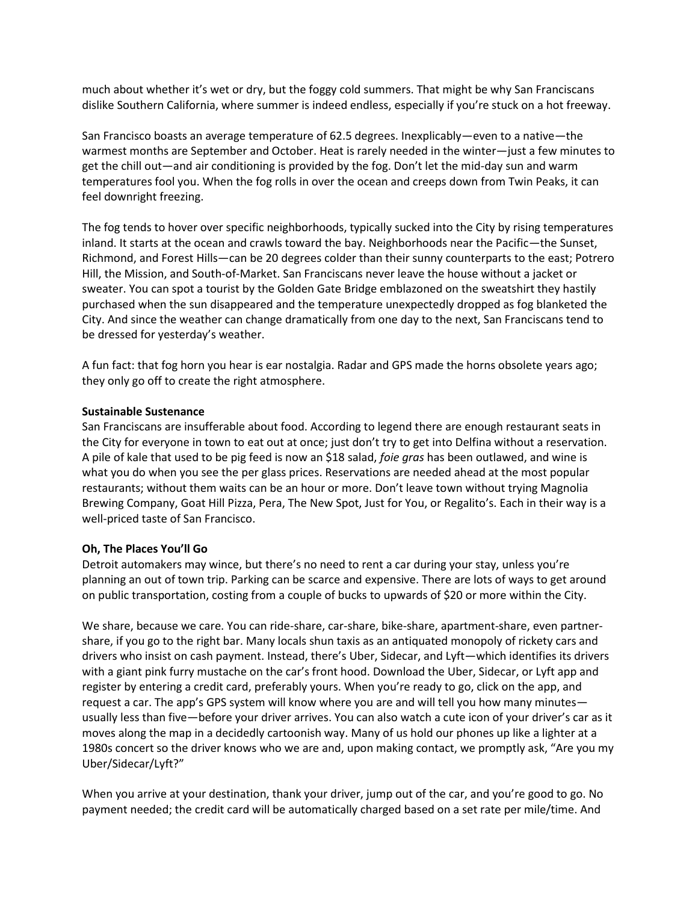much about whether it's wet or dry, but the foggy cold summers. That might be why San Franciscans dislike Southern California, where summer is indeed endless, especially if you're stuck on a hot freeway.

San Francisco boasts an average temperature of 62.5 degrees. Inexplicably—even to a native—the warmest months are September and October. Heat is rarely needed in the winter—just a few minutes to get the chill out—and air conditioning is provided by the fog. Don't let the mid-day sun and warm temperatures fool you. When the fog rolls in over the ocean and creeps down from Twin Peaks, it can feel downright freezing.

The fog tends to hover over specific neighborhoods, typically sucked into the City by rising temperatures inland. It starts at the ocean and crawls toward the bay. Neighborhoods near the Pacific—the Sunset, Richmond, and Forest Hills—can be 20 degrees colder than their sunny counterparts to the east; Potrero Hill, the Mission, and South-of-Market. San Franciscans never leave the house without a jacket or sweater. You can spot a tourist by the Golden Gate Bridge emblazoned on the sweatshirt they hastily purchased when the sun disappeared and the temperature unexpectedly dropped as fog blanketed the City. And since the weather can change dramatically from one day to the next, San Franciscans tend to be dressed for yesterday's weather.

A fun fact: that fog horn you hear is ear nostalgia. Radar and GPS made the horns obsolete years ago; they only go off to create the right atmosphere.

#### **Sustainable Sustenance**

San Franciscans are insufferable about food. According to legend there are enough restaurant seats in the City for everyone in town to eat out at once; just don't try to get into Delfina without a reservation. A pile of kale that used to be pig feed is now an \$18 salad, *foie gras* has been outlawed, and wine is what you do when you see the per glass prices. Reservations are needed ahead at the most popular restaurants; without them waits can be an hour or more. Don't leave town without trying Magnolia Brewing Company, Goat Hill Pizza, Pera, The New Spot, Just for You, or Regalito's. Each in their way is a well-priced taste of San Francisco.

# **Oh, The Places You'll Go**

Detroit automakers may wince, but there's no need to rent a car during your stay, unless you're planning an out of town trip. Parking can be scarce and expensive. There are lots of ways to get around on public transportation, costing from a couple of bucks to upwards of \$20 or more within the City.

We share, because we care. You can ride-share, car-share, bike-share, apartment-share, even partnershare, if you go to the right bar. Many locals shun taxis as an antiquated monopoly of rickety cars and drivers who insist on cash payment. Instead, there's Uber, Sidecar, and Lyft—which identifies its drivers with a giant pink furry mustache on the car's front hood. Download the Uber, Sidecar, or Lyft app and register by entering a credit card, preferably yours. When you're ready to go, click on the app, and request a car. The app's GPS system will know where you are and will tell you how many minutes usually less than five—before your driver arrives. You can also watch a cute icon of your driver's car as it moves along the map in a decidedly cartoonish way. Many of us hold our phones up like a lighter at a 1980s concert so the driver knows who we are and, upon making contact, we promptly ask, "Are you my Uber/Sidecar/Lyft?"

When you arrive at your destination, thank your driver, jump out of the car, and you're good to go. No payment needed; the credit card will be automatically charged based on a set rate per mile/time. And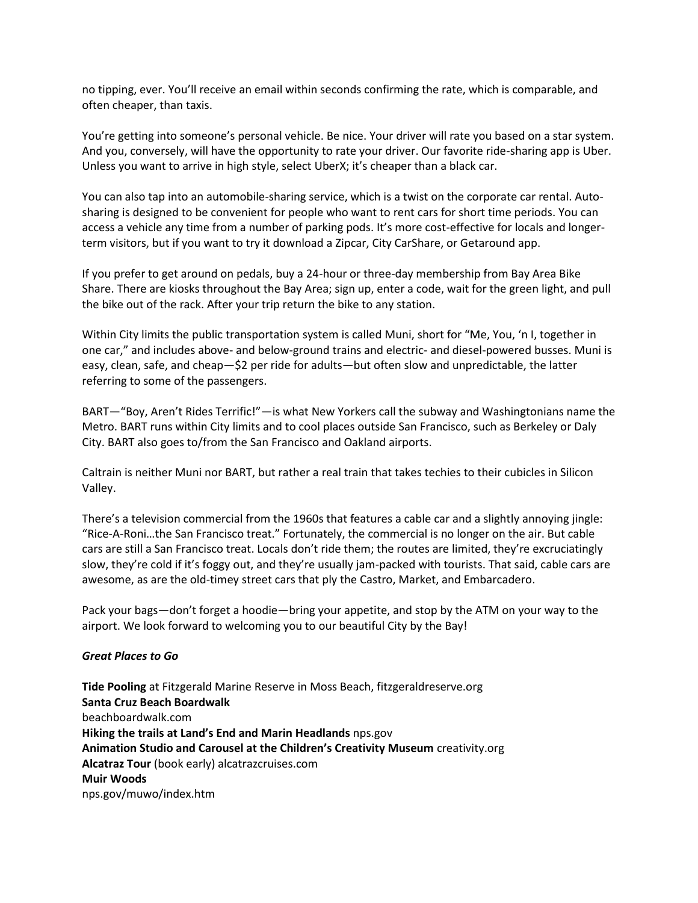no tipping, ever. You'll receive an email within seconds confirming the rate, which is comparable, and often cheaper, than taxis.

You're getting into someone's personal vehicle. Be nice. Your driver will rate you based on a star system. And you, conversely, will have the opportunity to rate your driver. Our favorite ride-sharing app is Uber. Unless you want to arrive in high style, select UberX; it's cheaper than a black car.

You can also tap into an automobile-sharing service, which is a twist on the corporate car rental. Autosharing is designed to be convenient for people who want to rent cars for short time periods. You can access a vehicle any time from a number of parking pods. It's more cost-effective for locals and longerterm visitors, but if you want to try it download a Zipcar, City CarShare, or Getaround app.

If you prefer to get around on pedals, buy a 24-hour or three-day membership from Bay Area Bike Share. There are kiosks throughout the Bay Area; sign up, enter a code, wait for the green light, and pull the bike out of the rack. After your trip return the bike to any station.

Within City limits the public transportation system is called Muni, short for "Me, You, 'n I, together in one car," and includes above- and below-ground trains and electric- and diesel-powered busses. Muni is easy, clean, safe, and cheap—\$2 per ride for adults—but often slow and unpredictable, the latter referring to some of the passengers.

BART—"Boy, Aren't Rides Terrific!"—is what New Yorkers call the subway and Washingtonians name the Metro. BART runs within City limits and to cool places outside San Francisco, such as Berkeley or Daly City. BART also goes to/from the San Francisco and Oakland airports.

Caltrain is neither Muni nor BART, but rather a real train that takes techies to their cubicles in Silicon Valley.

There's a television commercial from the 1960s that features a cable car and a slightly annoying jingle: "Rice-A-Roni…the San Francisco treat." Fortunately, the commercial is no longer on the air. But cable cars are still a San Francisco treat. Locals don't ride them; the routes are limited, they're excruciatingly slow, they're cold if it's foggy out, and they're usually jam-packed with tourists. That said, cable cars are awesome, as are the old-timey street cars that ply the Castro, Market, and Embarcadero.

Pack your bags—don't forget a hoodie—bring your appetite, and stop by the ATM on your way to the airport. We look forward to welcoming you to our beautiful City by the Bay!

# *Great Places to Go*

**Tide Pooling** at Fitzgerald Marine Reserve in Moss Beach, fitzgeraldreserve.org **Santa Cruz Beach Boardwalk** beachboardwalk.com **Hiking the trails at Land's End and Marin Headlands** nps.gov **Animation Studio and Carousel at the Children's Creativity Museum** creativity.org **Alcatraz Tour** (book early) alcatrazcruises.com **Muir Woods** nps.gov/muwo/index.htm